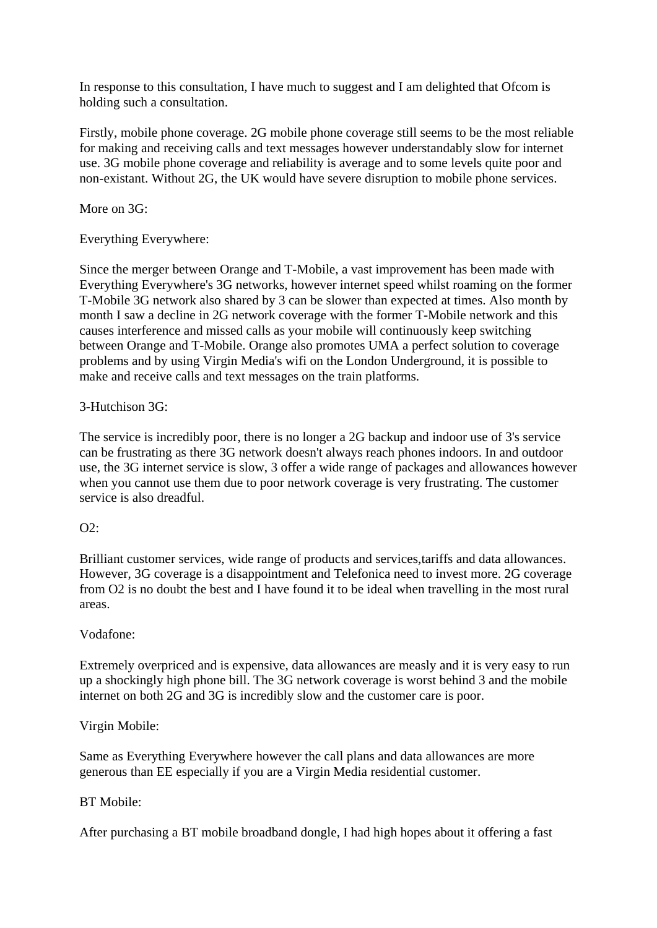In response to this consultation, I have much to suggest and I am delighted that Ofcom is holding such a consultation.

Firstly, mobile phone coverage. 2G mobile phone coverage still seems to be the most reliable for making and receiving calls and text messages however understandably slow for internet use. 3G mobile phone coverage and reliability is average and to some levels quite poor and non-existant. Without 2G, the UK would have severe disruption to mobile phone services.

More on 3G:

Everything Everywhere:

Since the merger between Orange and T-Mobile, a vast improvement has been made with Everything Everywhere's 3G networks, however internet speed whilst roaming on the former T-Mobile 3G network also shared by 3 can be slower than expected at times. Also month by month I saw a decline in 2G network coverage with the former T-Mobile network and this causes interference and missed calls as your mobile will continuously keep switching between Orange and T-Mobile. Orange also promotes UMA a perfect solution to coverage problems and by using Virgin Media's wifi on the London Underground, it is possible to make and receive calls and text messages on the train platforms.

# 3-Hutchison 3G:

The service is incredibly poor, there is no longer a 2G backup and indoor use of 3's service can be frustrating as there 3G network doesn't always reach phones indoors. In and outdoor use, the 3G internet service is slow, 3 offer a wide range of packages and allowances however when you cannot use them due to poor network coverage is very frustrating. The customer service is also dreadful.

## $O2$ :

Brilliant customer services, wide range of products and services,tariffs and data allowances. However, 3G coverage is a disappointment and Telefonica need to invest more. 2G coverage from O2 is no doubt the best and I have found it to be ideal when travelling in the most rural areas.

## Vodafone:

Extremely overpriced and is expensive, data allowances are measly and it is very easy to run up a shockingly high phone bill. The 3G network coverage is worst behind 3 and the mobile internet on both 2G and 3G is incredibly slow and the customer care is poor.

# Virgin Mobile:

Same as Everything Everywhere however the call plans and data allowances are more generous than EE especially if you are a Virgin Media residential customer.

# BT Mobile:

After purchasing a BT mobile broadband dongle, I had high hopes about it offering a fast